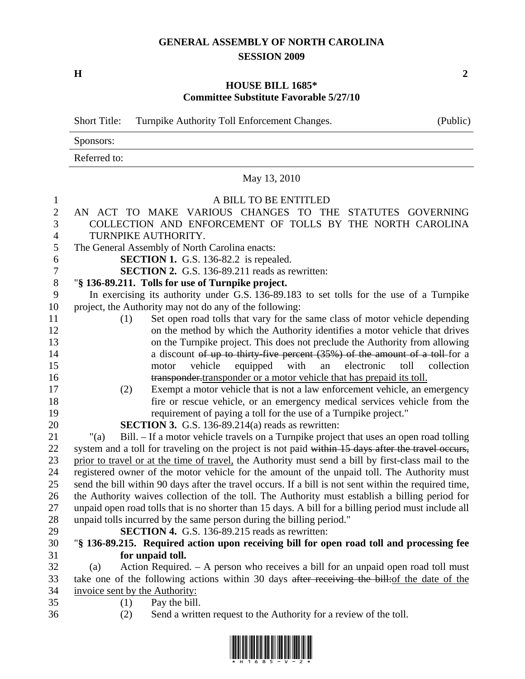## **GENERAL ASSEMBLY OF NORTH CAROLINA SESSION 2009**

**H** 2

## **HOUSE BILL 1685\* Committee Substitute Favorable 5/27/10**

|                  | <b>Short Title:</b><br>Turnpike Authority Toll Enforcement Changes.                                                                                        | (Public)   |  |
|------------------|------------------------------------------------------------------------------------------------------------------------------------------------------------|------------|--|
|                  | Sponsors:                                                                                                                                                  |            |  |
|                  | Referred to:                                                                                                                                               |            |  |
|                  | May 13, 2010                                                                                                                                               |            |  |
| $\mathbf{1}$     | A BILL TO BE ENTITLED                                                                                                                                      |            |  |
| $\mathbf{2}$     | ACT TO MAKE VARIOUS CHANGES TO THE STATUTES GOVERNING<br>AN -                                                                                              |            |  |
| 3                | COLLECTION AND ENFORCEMENT OF TOLLS BY THE NORTH CAROLINA                                                                                                  |            |  |
| 4                | TURNPIKE AUTHORITY.                                                                                                                                        |            |  |
| 5                | The General Assembly of North Carolina enacts:                                                                                                             |            |  |
| 6                | <b>SECTION 1.</b> G.S. 136-82.2 is repealed.                                                                                                               |            |  |
| $\boldsymbol{7}$ | <b>SECTION 2.</b> G.S. 136-89.211 reads as rewritten:                                                                                                      |            |  |
| 8                | "§ 136-89.211. Tolls for use of Turnpike project.                                                                                                          |            |  |
| 9                | In exercising its authority under G.S. 136-89.183 to set tolls for the use of a Turnpike                                                                   |            |  |
| 10               | project, the Authority may not do any of the following:                                                                                                    |            |  |
| 11               | Set open road tolls that vary for the same class of motor vehicle depending<br>(1)                                                                         |            |  |
| 12               | on the method by which the Authority identifies a motor vehicle that drives                                                                                |            |  |
| 13               | on the Turnpike project. This does not preclude the Authority from allowing                                                                                |            |  |
| 14               | a discount of up to thirty-five percent $(35%)$ of the amount of a toll-for a                                                                              |            |  |
| 15<br>16         | vehicle<br>equipped<br>with<br>electronic<br>toll<br>motor<br>an                                                                                           | collection |  |
| 17               | transponder-transponder or a motor vehicle that has prepaid its toll.<br>Exempt a motor vehicle that is not a law enforcement vehicle, an emergency<br>(2) |            |  |
| 18               | fire or rescue vehicle, or an emergency medical services vehicle from the                                                                                  |            |  |
| 19               | requirement of paying a toll for the use of a Turnpike project."                                                                                           |            |  |
| 20               | <b>SECTION 3.</b> G.S. 136-89.214(a) reads as rewritten:                                                                                                   |            |  |
| 21               | Bill. – If a motor vehicle travels on a Turnpike project that uses an open road tolling<br>" $(a)$                                                         |            |  |
| 22               | system and a toll for traveling on the project is not paid within 15 days after the travel occurs,                                                         |            |  |
| 23               | prior to travel or at the time of travel, the Authority must send a bill by first-class mail to the                                                        |            |  |
| 24               | registered owner of the motor vehicle for the amount of the unpaid toll. The Authority must                                                                |            |  |
| 25               | send the bill within 90 days after the travel occurs. If a bill is not sent within the required time,                                                      |            |  |
| 26               | the Authority waives collection of the toll. The Authority must establish a billing period for                                                             |            |  |
| 27               | unpaid open road tolls that is no shorter than 15 days. A bill for a billing period must include all                                                       |            |  |
| 28               | unpaid tolls incurred by the same person during the billing period."                                                                                       |            |  |
| 29               | <b>SECTION 4.</b> G.S. 136-89.215 reads as rewritten:                                                                                                      |            |  |
| 30               | "§ 136-89.215. Required action upon receiving bill for open road toll and processing fee                                                                   |            |  |
| 31               | for unpaid toll.                                                                                                                                           |            |  |
| 32<br>33         | Action Required. $-$ A person who receives a bill for an unpaid open road toll must<br>(a)                                                                 |            |  |
| 34               | take one of the following actions within 30 days after receiving the bill: of the date of the<br>invoice sent by the Authority:                            |            |  |
| 35               | Pay the bill.<br>(1)                                                                                                                                       |            |  |
| 36               | Send a written request to the Authority for a review of the toll.<br>(2)                                                                                   |            |  |

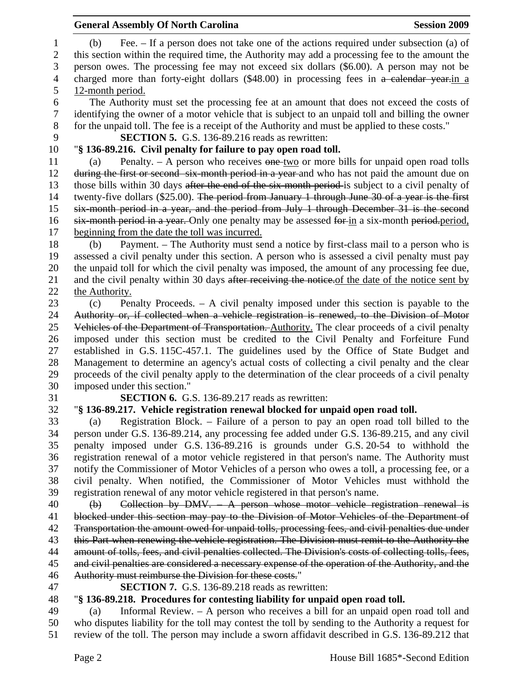|                  | <b>General Assembly Of North Carolina</b><br><b>Session 2009</b>                                      |  |
|------------------|-------------------------------------------------------------------------------------------------------|--|
| $\mathbf{1}$     | Fee. – If a person does not take one of the actions required under subsection (a) of<br>(b)           |  |
| $\overline{c}$   | this section within the required time, the Authority may add a processing fee to the amount the       |  |
| 3                | person owes. The processing fee may not exceed six dollars (\$6.00). A person may not be              |  |
| $\overline{4}$   | charged more than forty-eight dollars (\$48.00) in processing fees in a calendar year-in a            |  |
| 5                | 12-month period.                                                                                      |  |
| 6                | The Authority must set the processing fee at an amount that does not exceed the costs of              |  |
| $\boldsymbol{7}$ | identifying the owner of a motor vehicle that is subject to an unpaid toll and billing the owner      |  |
| 8                | for the unpaid toll. The fee is a receipt of the Authority and must be applied to these costs."       |  |
| 9                | <b>SECTION 5.</b> G.S. 136-89.216 reads as rewritten:                                                 |  |
| 10               | "§ 136-89.216. Civil penalty for failure to pay open road toll.                                       |  |
| 11               | Penalty. – A person who receives $\theta$ one-two or more bills for unpaid open road tolls<br>(a)     |  |
| 12               | during the first or second six-month period in a year-and who has not paid the amount due on          |  |
| 13               | those bills within 30 days after the end of the six-month period-is subject to a civil penalty of     |  |
| 14               | twenty-five dollars (\$25.00). The period from January 1 through June 30 of a year is the first       |  |
| 15               | six-month period in a year, and the period from July 1 through December 31 is the second              |  |
| 16               | six-month period in a year. Only one penalty may be assessed for in a six-month period.period.        |  |
| 17               | beginning from the date the toll was incurred.                                                        |  |
| 18               | Payment. – The Authority must send a notice by first-class mail to a person who is<br>(b)             |  |
| 19               | assessed a civil penalty under this section. A person who is assessed a civil penalty must pay        |  |
| 20               | the unpaid toll for which the civil penalty was imposed, the amount of any processing fee due,        |  |
| 21               | and the civil penalty within 30 days after receiving the notice. of the date of the notice sent by    |  |
| 22               | the Authority.                                                                                        |  |
| 23               | Penalty Proceeds. $-$ A civil penalty imposed under this section is payable to the<br>(c)             |  |
| 24               | Authority or, if collected when a vehicle registration is renewed, to the Division of Motor           |  |
| 25               | Vehicles of the Department of Transportation. Authority. The clear proceeds of a civil penalty        |  |
| 26               | imposed under this section must be credited to the Civil Penalty and Forfeiture Fund                  |  |
| 27               | established in G.S. 115C-457.1. The guidelines used by the Office of State Budget and                 |  |
| 28               | Management to determine an agency's actual costs of collecting a civil penalty and the clear          |  |
| 29               | proceeds of the civil penalty apply to the determination of the clear proceeds of a civil penalty     |  |
| 30               | imposed under this section."                                                                          |  |
| 31               | <b>SECTION 6.</b> G.S. 136-89.217 reads as rewritten:                                                 |  |
| 32               | "§ 136-89.217. Vehicle registration renewal blocked for unpaid open road toll.                        |  |
| 33               | Registration Block. – Failure of a person to pay an open road toll billed to the<br>(a)               |  |
| 34               | person under G.S. 136-89.214, any processing fee added under G.S. 136-89.215, and any civil           |  |
| 35               | penalty imposed under G.S. 136-89.216 is grounds under G.S. 20-54 to withhold the                     |  |
| 36               | registration renewal of a motor vehicle registered in that person's name. The Authority must          |  |
| 37               | notify the Commissioner of Motor Vehicles of a person who owes a toll, a processing fee, or a         |  |
| 38               | civil penalty. When notified, the Commissioner of Motor Vehicles must withhold the                    |  |
| 39               | registration renewal of any motor vehicle registered in that person's name.                           |  |
| 40               | Collection by DMV. $-$ A person whose motor vehicle registration renewal is<br>$\Theta$               |  |
| 41               | blocked under this section may pay to the Division of Motor Vehicles of the Department of             |  |
| 42               | Transportation the amount owed for unpaid tolls, processing fees, and civil penalties due under       |  |
| 43               | this Part when renewing the vehicle registration. The Division must remit to the Authority the        |  |
| 44               | amount of tolls, fees, and civil penalties collected. The Division's costs of collecting tolls, fees, |  |
| 45               | and civil penalties are considered a necessary expense of the operation of the Authority, and the     |  |
| 46               | Authority must reimburse the Division for these costs."                                               |  |
| 47               | <b>SECTION 7.</b> G.S. 136-89.218 reads as rewritten:                                                 |  |
| 48               | "§ 136-89.218. Procedures for contesting liability for unpaid open road toll.                         |  |
| 49               | Informal Review. $-$ A person who receives a bill for an unpaid open road toll and<br>(a)             |  |
| 50               | who disputes liability for the toll may contest the toll by sending to the Authority a request for    |  |
| 51               | review of the toll. The person may include a sworn affidavit described in G.S. 136-89.212 that        |  |
|                  |                                                                                                       |  |